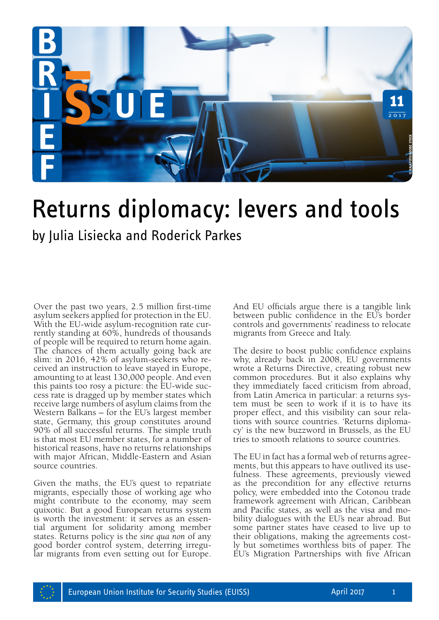

# Returns diplomacy: levers and tools

by Julia Lisiecka and Roderick Parkes

Over the past two years, 2.5 million first-time asylum seekers applied for protection in the EU. With the EU-wide asylum-recognition rate currently standing at 60%, hundreds of thousands of people will be required to return home again. The chances of them actually going back are slim: in 2016, 42% of asylum-seekers who received an instruction to leave stayed in Europe, amounting to at least 130,000 people. And even this paints too rosy a picture: the EU-wide success rate is dragged up by member states which receive large numbers of asylum claims from the Western Balkans – for the EU's largest member state, Germany, this group constitutes around 90% of all successful returns. The simple truth is that most EU member states, for a number of historical reasons, have no returns relationships with major African, Middle-Eastern and Asian source countries.

Given the maths, the EU's quest to repatriate migrants, especially those of working age who might contribute to the economy, may seem quixotic. But a good European returns system is worth the investment: it serves as an essential argument for solidarity among member states. Returns policy is the *sine qua non* of any good border control system, deterring irregular migrants from even setting out for Europe. And EU officials argue there is a tangible link between public confidence in the EU's border controls and governments' readiness to relocate migrants from Greece and Italy.

The desire to boost public confidence explains why, already back in 2008, EU governments wrote a Returns Directive, creating robust new common procedures. But it also explains why they immediately faced criticism from abroad, from Latin America in particular: a returns system must be seen to work if it is to have its proper effect, and this visibility can sour rela- tions with source countries. 'Returns diploma- cy' is the new buzzword in Brussels, as the EU tries to smooth relations to source countries.

The EU in fact has a formal web of returns agreements, but this appears to have outlived its usefulness. These agreements, previously viewed as the precondition for any effective returns policy, were embedded into the Cotonou trade framework agreement with African, Caribbean and Pacific states, as well as the visa and mobility dialogues with the EU's near abroad. But some partner states have ceased to live up to their obligations, making the agreements costly but sometimes worthless bits of paper. The **EVETS And tools**<br> **EVETS And tools**<br> **EVETS AND TOOLS**<br> **ESS**<br> **ESS**<br> **END**<br> **END**<br> **END**<br> **END**<br> **END**<br> **END**<br> **END**<br> **END**<br> **END**<br> **END**<br> **END**<br> **END**<br> **END**<br> **END**<br> **END**<br> **END**<br> **END**<br> **END**<br> **END**<br> **END**<br> **END**<br> **END** 

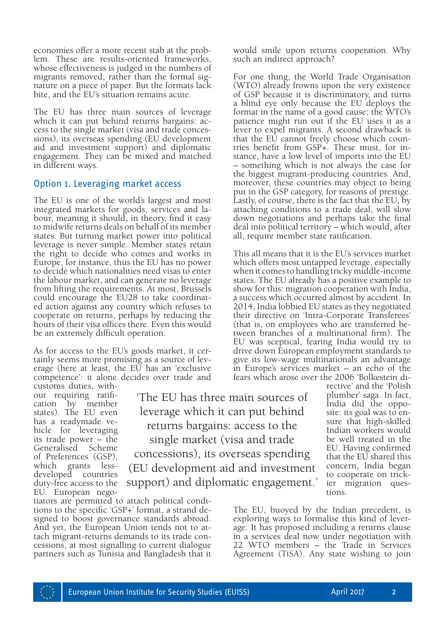economies offer a more recent stab at the problem. These are results-oriented frameworks, whose effectiveness is judged in the numbers of migrants removed, rather than the formal signature on a piece of paper. But the formats lack bite, and the EU's situation remains acute.

The EU has three main sources of leverage which it can put behind returns bargains: access to the single market (visa and trade concessions), its overseas spending (EU development aid and investment support) and diplomatic engagement. They can be mixed and matched in different ways.

## Option 1. Leveraging market access

The EU is one of the world's largest and most integrated markets for goods, services and labour, meaning it should, in theory, find it easy to midwife returns deals on behalf of its member states. But turning market power into political leverage is never simple. Member states retain the right to decide who comes and works in Europe, for instance, thus the EU has no power to decide which nationalities need visas to enter the labour market, and can generate no leverage from lifting the requirements. At most, Brussels could encourage the EU28 to take coordinated action against any country which refuses to cooperate on returns, perhaps by reducing the hours of their visa offices there. Even this would be an extremely difficult operation.

As for access to the EU's goods market, it certainly seems more promising as a source of leverage (here at least, the EU has an 'exclusive competence': it alone decides over trade and customs duties, with-

out requiring ratification by member states). The EU even has a readymade ve- hicle for leveraging its trade power – the Generalised of Preferences (GSP), which grants lessdeveloped countries duty-free access to the EU. European nego-

'The EU has three main sources of leverage which it can put behind returns bargains: access to the single market (visa and trade concessions), its overseas spending (EU development aid and investment support) and diplomatic engagement.'

tiators are permitted to attach political condi- tions to the specific 'GSP+' format, a strand designed to boost governance standards abroad. And yet, the European Union tends not to attach migrant-returns demands to its trade concessions, at most signalling to current dialogue partners such as Tunisia and Bangladesh that it would smile upon returns cooperation. Why such an indirect approach?

For one thing, the World Trade Organisation (WTO) already frowns upon the very existence of GSP because it is discriminatory, and turns a blind eye only because the EU deploys the format in the name of a good cause; the WTO's patience might run out if the EU uses it as a lever to expel migrants. A second drawback is that the EU cannot freely choose which countries benefit from GSP+. These must, for instance, have a low level of imports into the EU – something which is not always the case for the biggest migrant-producing countries. And, moreover, these countries may object to being put in the GSP category, for reasons of prestige. Lastly, of course, there is the fact that the EU, by attaching conditions to a trade deal, will slow down negotiations and perhaps take the final deal into political territory – which would, after all, require member state ratification.

This all means that it is the EU's services market which offers most untapped leverage, especially when it comes to handling tricky middle-income states. The EU already has a positive example to show for this: migration cooperation with India, a success which occurred almost by accident. In 2014, India lobbied EU states as they negotiated their directive on 'Intra-Corporate Transferees' (that is, on employees who are transferred between branches of a multinational firm). The EU was sceptical, fearing India would try to drive down European employment standards to give its low-wage multinationals an advantage in Europe's services market – an echo of the fears which arose over the 2006 'Bolkestein di-

> rective' and the 'Polish plumber' saga. In fact, India did the opposite: its goal was to en- sure that high-skilled Indian workers would be well treated in the EU. Having confirmed that the EU shared this concern, India began to cooperate on trickier migration questions.

The EU, buoyed by the Indian precedent, is exploring ways to formalise this kind of leverage. It has proposed including a returns clause in a services deal now under negotiation with 22 WTO members – the Trade in Services Agreement (TiSA). Any state wishing to join

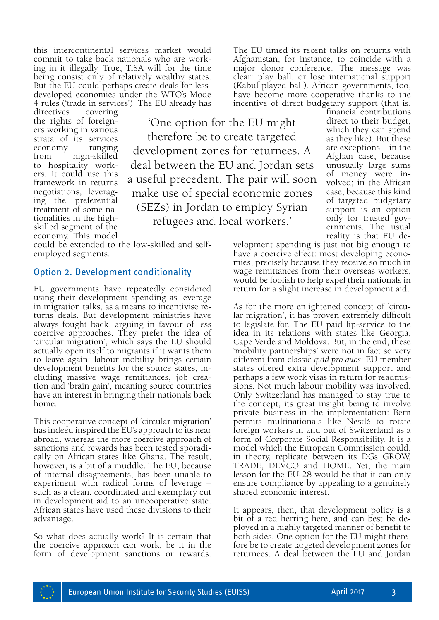this intercontinental services market would<br>commit to take back nationals who are working in it illegally. True, TiSA will for the time being consist only of relatively wealthy states. But the EU could perhaps create deals for lessdeveloped economies under the WTO's Mode 4 rules ('trade in services'). The EU already has

directives covering the rights of foreigners working in various strata of its services economy – ranging from high-skilled to hospitality workers. It could use this framework in returns negotiations, leveraging the preferential treatment of some nationalities in the highskilled segment of the economy. This model

'One option for the EU might therefore be to create targeted development zones for returnees. A deal between the EU and Jordan sets a useful precedent. The pair will soon make use of special economic zones (SEZs) in Jordan to employ Syrian refugees and local workers.'

could be extended to the low-skilled and selfemployed segments.

#### Option 2. Development conditionality

EU governments have repeatedly considered using their development spending as leverage in migration talks, as a means to incentivise returns deals. But development ministries have always fought back, arguing in favour of less coercive approaches. They prefer the idea of 'circular migration', which says the EU should actually open itself to migrants if it wants them to leave again: labour mobility brings certain development benefits for the source states, including massive wage remittances, job creation and 'brain gain', meaning source countries have an interest in bringing their nationals back home.

This cooperative concept of 'circular migration' has indeed inspired the EU's approach to its near abroad, whereas the more coercive approach of sanctions and rewards has been tested sporadically on African states like Ghana. The result, however, is a bit of a muddle. The EU, because of internal disagreements, has been unable to experiment with radical forms of leverage – such as a clean, coordinated and exemplary cut in development aid to an uncooperative state. African states have used these divisions to their advantage.

So what does actually work? It is certain that the coercive approach can work, be it in the form of development sanctions or rewards. The EU timed its recent talks on returns with Afghanistan, for instance, to coincide with a major donor conference. The message was clear: play ball, or lose international support (Kabul played ball). African governments, too, have become more cooperative thanks to the incentive of direct budgetary support (that is,

financial contributions direct to their budget, which they can spend as they like). But these are exceptions – in the Afghan case, because unusually large sums of money were involved; in the African case, because this kind of targeted budgetary support is an option only for trusted governments. The usual reality is that EU de-

velopment spending is just not big enough to have a coercive effect: most developing economies, precisely because they receive so much in wage remittances from their overseas workers, would be foolish to help expel their nationals in return for a slight increase in development aid.

As for the more enlightened concept of 'circular migration', it has proven extremely difficult to legislate for. The EU paid lip-service to the idea in its relations with states like Georgia, Cape Verde and Moldova. But, in the end, these 'mobility partnerships' were not in fact so very different from classic *quid pro quos*: EU member states offered extra development support and perhaps a few work visas in return for readmissions. Not much labour mobility was involved. Only Switzerland has managed to stay true to the concept, its great insight being to involve private business in the implementation: Bern permits multinationals like Nestlé to rotate foreign workers in and out of Switzerland as a form of Corporate Social Responsibility. It is a model which the European Commission could, in theory, replicate between its DGs GROW, TRADE, DEVCO and HOME. Yet, the main lesson for the EU-28 would be that it can only ensure compliance by appealing to a genuinely shared economic interest.

It appears, then, that development policy is a bit of a red herring here, and can best be deployed in a highly targeted manner of benefit to both sides. One option for the EU might therefore be to create targeted development zones for returnees. A deal between the EU and Jordan